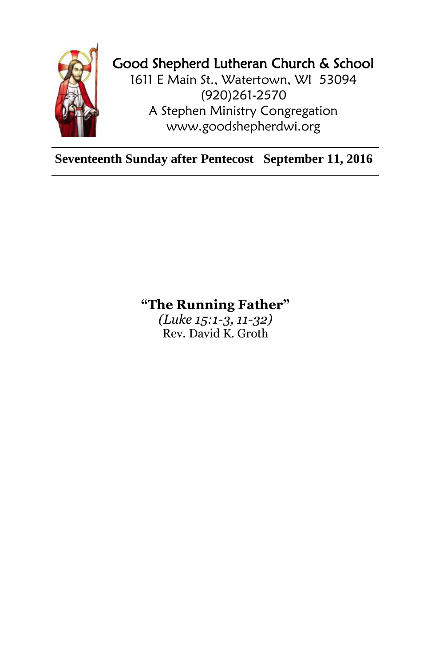

## Good Shepherd Lutheran Church & School

1611 E Main St., Watertown, WI 53094 (920)261-2570 A Stephen Ministry Congregation [www.goodshepherdwi.org](http://www.goodshepherdwi.org/)

**Seventeenth Sunday after Pentecost September 11, 2016**

## **"The Running Father"**

*(Luke 15:1-3, 11-32)* Rev. David K. Groth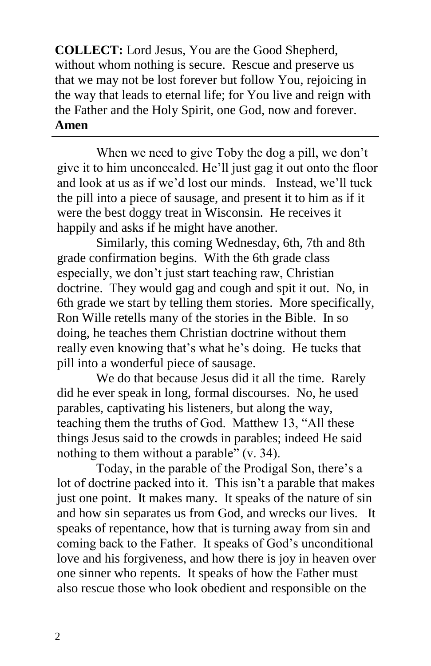**COLLECT:** Lord Jesus, You are the Good Shepherd, without whom nothing is secure. Rescue and preserve us that we may not be lost forever but follow You, rejoicing in the way that leads to eternal life; for You live and reign with the Father and the Holy Spirit, one God, now and forever. **Amen**

When we need to give Toby the dog a pill, we don't give it to him unconcealed. He'll just gag it out onto the floor and look at us as if we'd lost our minds. Instead, we'll tuck the pill into a piece of sausage, and present it to him as if it were the best doggy treat in Wisconsin. He receives it happily and asks if he might have another.

Similarly, this coming Wednesday, 6th, 7th and 8th grade confirmation begins. With the 6th grade class especially, we don't just start teaching raw, Christian doctrine. They would gag and cough and spit it out. No, in 6th grade we start by telling them stories. More specifically, Ron Wille retells many of the stories in the Bible. In so doing, he teaches them Christian doctrine without them really even knowing that's what he's doing. He tucks that pill into a wonderful piece of sausage.

We do that because Jesus did it all the time. Rarely did he ever speak in long, formal discourses. No, he used parables, captivating his listeners, but along the way, teaching them the truths of God. Matthew 13, "All these things Jesus said to the crowds in parables; indeed He said nothing to them without a parable" (v. 34).

Today, in the parable of the Prodigal Son, there's a lot of doctrine packed into it. This isn't a parable that makes just one point. It makes many. It speaks of the nature of sin and how sin separates us from God, and wrecks our lives. It speaks of repentance, how that is turning away from sin and coming back to the Father. It speaks of God's unconditional love and his forgiveness, and how there is joy in heaven over one sinner who repents. It speaks of how the Father must also rescue those who look obedient and responsible on the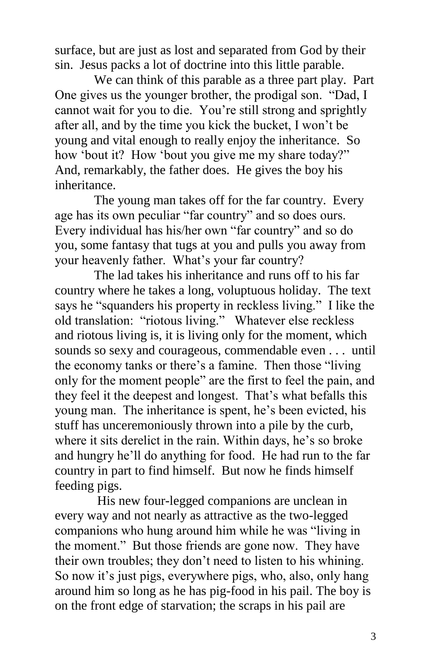surface, but are just as lost and separated from God by their sin. Jesus packs a lot of doctrine into this little parable.

We can think of this parable as a three part play. Part One gives us the younger brother, the prodigal son. "Dad, I cannot wait for you to die. You're still strong and sprightly after all, and by the time you kick the bucket, I won't be young and vital enough to really enjoy the inheritance. So how 'bout it? How 'bout you give me my share today?" And, remarkably, the father does. He gives the boy his inheritance.

The young man takes off for the far country. Every age has its own peculiar "far country" and so does ours. Every individual has his/her own "far country" and so do you, some fantasy that tugs at you and pulls you away from your heavenly father. What's your far country?

The lad takes his inheritance and runs off to his far country where he takes a long, voluptuous holiday. The text says he "squanders his property in reckless living." I like the old translation: "riotous living." Whatever else reckless and riotous living is, it is living only for the moment, which sounds so sexy and courageous, commendable even . . . until the economy tanks or there's a famine. Then those "living only for the moment people" are the first to feel the pain, and they feel it the deepest and longest. That's what befalls this young man. The inheritance is spent, he's been evicted, his stuff has unceremoniously thrown into a pile by the curb, where it sits derelict in the rain. Within days, he's so broke and hungry he'll do anything for food. He had run to the far country in part to find himself. But now he finds himself feeding pigs.

His new four-legged companions are unclean in every way and not nearly as attractive as the two-legged companions who hung around him while he was "living in the moment." But those friends are gone now. They have their own troubles; they don't need to listen to his whining. So now it's just pigs, everywhere pigs, who, also, only hang around him so long as he has pig-food in his pail. The boy is on the front edge of starvation; the scraps in his pail are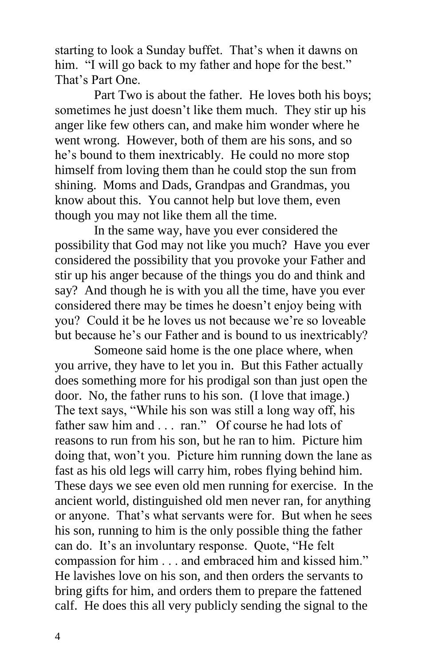starting to look a Sunday buffet. That's when it dawns on him. "I will go back to my father and hope for the best." That's Part One.

Part Two is about the father. He loves both his boys; sometimes he just doesn't like them much. They stir up his anger like few others can, and make him wonder where he went wrong. However, both of them are his sons, and so he's bound to them inextricably. He could no more stop himself from loving them than he could stop the sun from shining. Moms and Dads, Grandpas and Grandmas, you know about this. You cannot help but love them, even though you may not like them all the time.

In the same way, have you ever considered the possibility that God may not like you much? Have you ever considered the possibility that you provoke your Father and stir up his anger because of the things you do and think and say? And though he is with you all the time, have you ever considered there may be times he doesn't enjoy being with you? Could it be he loves us not because we're so loveable but because he's our Father and is bound to us inextricably?

Someone said home is the one place where, when you arrive, they have to let you in. But this Father actually does something more for his prodigal son than just open the door. No, the father runs to his son. (I love that image.) The text says, "While his son was still a long way off, his father saw him and . . . ran." Of course he had lots of reasons to run from his son, but he ran to him. Picture him doing that, won't you. Picture him running down the lane as fast as his old legs will carry him, robes flying behind him. These days we see even old men running for exercise. In the ancient world, distinguished old men never ran, for anything or anyone. That's what servants were for. But when he sees his son, running to him is the only possible thing the father can do. It's an involuntary response. Quote, "He felt compassion for him . . . and embraced him and kissed him." He lavishes love on his son, and then orders the servants to bring gifts for him, and orders them to prepare the fattened calf. He does this all very publicly sending the signal to the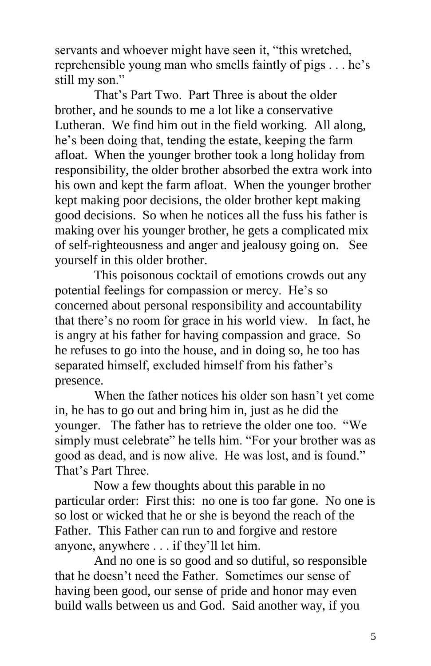servants and whoever might have seen it, "this wretched, reprehensible young man who smells faintly of pigs . . . he's still my son."

That's Part Two. Part Three is about the older brother, and he sounds to me a lot like a conservative Lutheran. We find him out in the field working. All along, he's been doing that, tending the estate, keeping the farm afloat. When the younger brother took a long holiday from responsibility, the older brother absorbed the extra work into his own and kept the farm afloat. When the younger brother kept making poor decisions, the older brother kept making good decisions. So when he notices all the fuss his father is making over his younger brother, he gets a complicated mix of self-righteousness and anger and jealousy going on. See yourself in this older brother.

This poisonous cocktail of emotions crowds out any potential feelings for compassion or mercy. He's so concerned about personal responsibility and accountability that there's no room for grace in his world view. In fact, he is angry at his father for having compassion and grace. So he refuses to go into the house, and in doing so, he too has separated himself, excluded himself from his father's presence.

When the father notices his older son hasn't yet come in, he has to go out and bring him in, just as he did the younger. The father has to retrieve the older one too. "We simply must celebrate" he tells him. "For your brother was as good as dead, and is now alive. He was lost, and is found." That's Part Three.

Now a few thoughts about this parable in no particular order: First this: no one is too far gone. No one is so lost or wicked that he or she is beyond the reach of the Father. This Father can run to and forgive and restore anyone, anywhere . . . if they'll let him.

And no one is so good and so dutiful, so responsible that he doesn't need the Father. Sometimes our sense of having been good, our sense of pride and honor may even build walls between us and God. Said another way, if you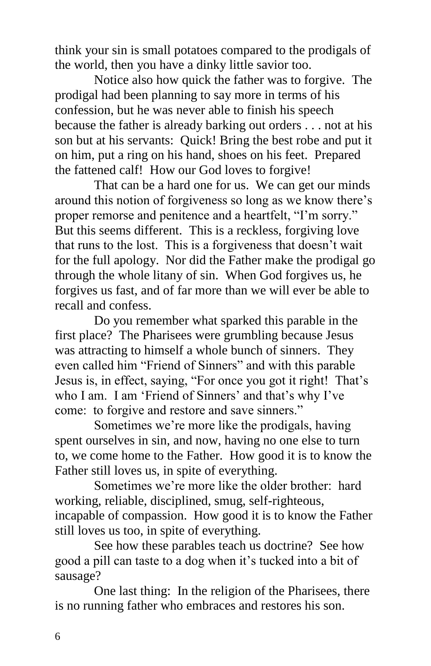think your sin is small potatoes compared to the prodigals of the world, then you have a dinky little savior too.

Notice also how quick the father was to forgive. The prodigal had been planning to say more in terms of his confession, but he was never able to finish his speech because the father is already barking out orders . . . not at his son but at his servants: Quick! Bring the best robe and put it on him, put a ring on his hand, shoes on his feet. Prepared the fattened calf! How our God loves to forgive!

That can be a hard one for us. We can get our minds around this notion of forgiveness so long as we know there's proper remorse and penitence and a heartfelt, "I'm sorry." But this seems different. This is a reckless, forgiving love that runs to the lost. This is a forgiveness that doesn't wait for the full apology. Nor did the Father make the prodigal go through the whole litany of sin. When God forgives us, he forgives us fast, and of far more than we will ever be able to recall and confess.

Do you remember what sparked this parable in the first place? The Pharisees were grumbling because Jesus was attracting to himself a whole bunch of sinners. They even called him "Friend of Sinners" and with this parable Jesus is, in effect, saying, "For once you got it right! That's who I am. I am 'Friend of Sinners' and that's why I've come: to forgive and restore and save sinners."

Sometimes we're more like the prodigals, having spent ourselves in sin, and now, having no one else to turn to, we come home to the Father. How good it is to know the Father still loves us, in spite of everything.

Sometimes we're more like the older brother: hard working, reliable, disciplined, smug, self-righteous, incapable of compassion. How good it is to know the Father still loves us too, in spite of everything.

See how these parables teach us doctrine? See how good a pill can taste to a dog when it's tucked into a bit of sausage?

One last thing: In the religion of the Pharisees, there is no running father who embraces and restores his son.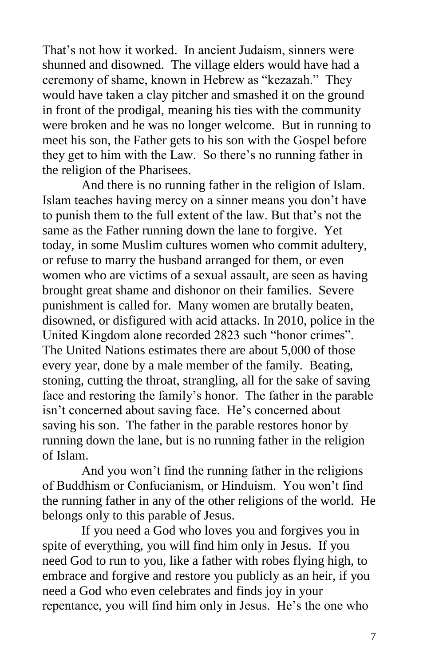That's not how it worked. In ancient Judaism, sinners were shunned and disowned. The village elders would have had a ceremony of shame, known in Hebrew as "kezazah." They would have taken a clay pitcher and smashed it on the ground in front of the prodigal, meaning his ties with the community were broken and he was no longer welcome. But in running to meet his son, the Father gets to his son with the Gospel before they get to him with the Law. So there's no running father in the religion of the Pharisees.

And there is no running father in the religion of Islam. Islam teaches having mercy on a sinner means you don't have to punish them to the full extent of the law. But that's not the same as the Father running down the lane to forgive. Yet today, in some Muslim cultures women who commit adultery, or refuse to marry the husband arranged for them, or even women who are victims of a sexual assault, are seen as having brought great shame and dishonor on their families. Severe punishment is called for. Many women are brutally beaten, disowned, or disfigured with acid attacks. In 2010, police in the United Kingdom alone recorded 2823 such "honor crimes". The United Nations estimates there are about 5,000 of those every year, done by a male member of the family. Beating, stoning, cutting the throat, strangling, all for the sake of saving face and restoring the family's honor. The father in the parable isn't concerned about saving face. He's concerned about saving his son. The father in the parable restores honor by running down the lane, but is no running father in the religion of Islam.

And you won't find the running father in the religions of Buddhism or Confucianism, or Hinduism. You won't find the running father in any of the other religions of the world. He belongs only to this parable of Jesus.

If you need a God who loves you and forgives you in spite of everything, you will find him only in Jesus. If you need God to run to you, like a father with robes flying high, to embrace and forgive and restore you publicly as an heir, if you need a God who even celebrates and finds joy in your repentance, you will find him only in Jesus. He's the one who